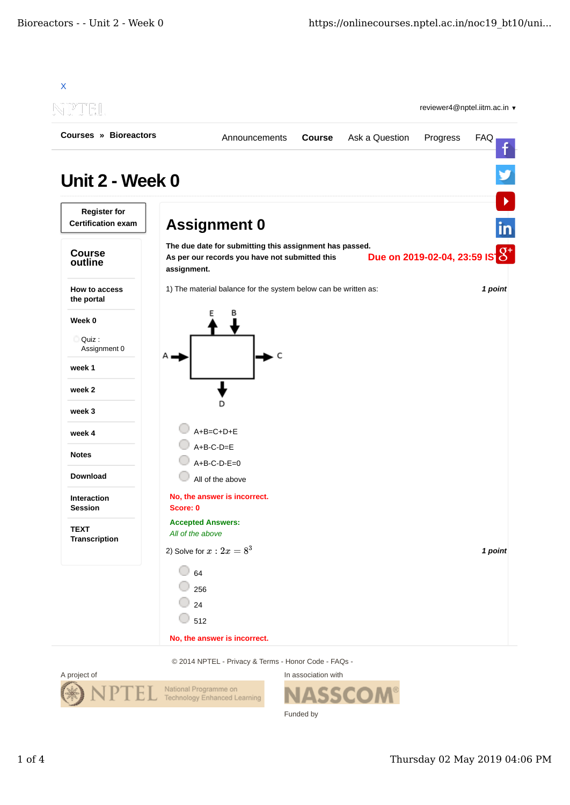

© 2014 NPTEL - Privacy & Terms - Honor Code - FAQs -



In association with SSC Funded by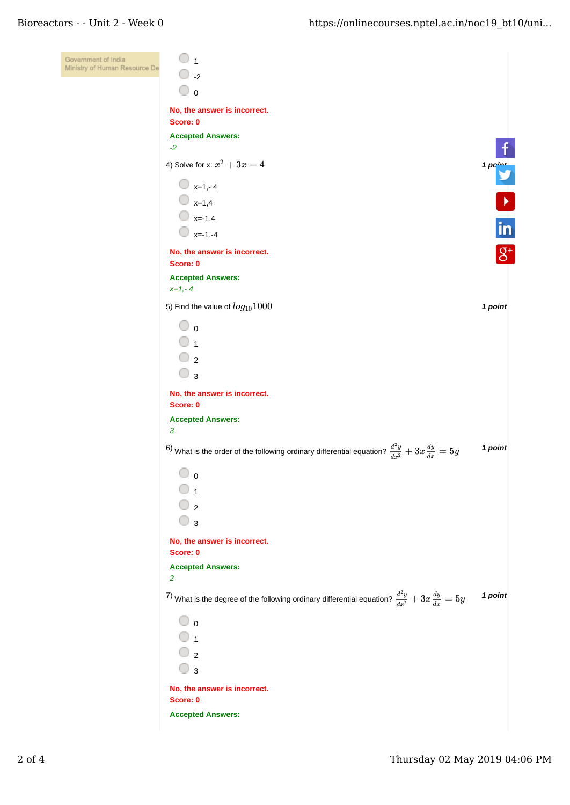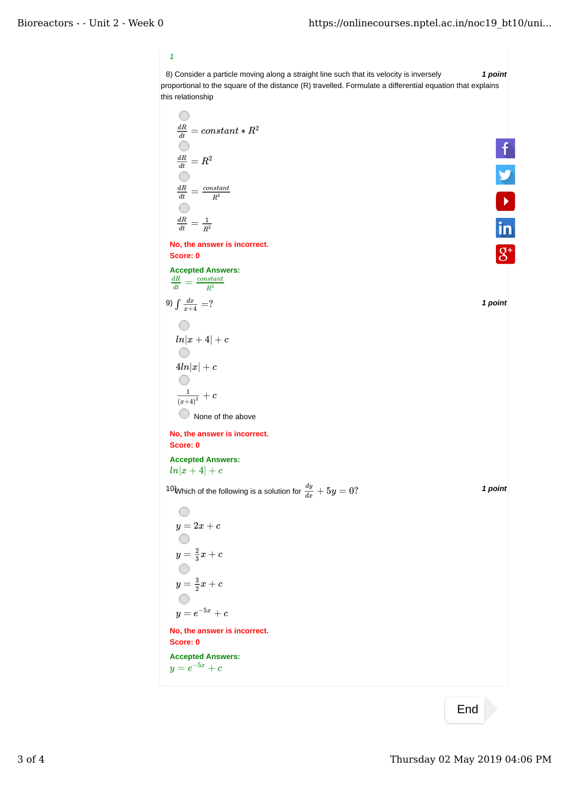*1*

8) *1 point* Consider a particle moving along a straight line such that its velocity is inversely proportional to the square of the distance (R) travelled. Formulate a differential equation that explains this relationship

$$
\frac{dR}{dt} = constant * R^2
$$
\n
$$
\frac{dR}{dt} = R^2
$$
\n
$$
\frac{dR}{dt} = \frac{1}{R^2}
$$
\nNo, the answer is incorrect.  
\nAccept Answers:  
\n
$$
\frac{dR}{dt} = \frac{1}{R^2}
$$
\n
$$
9) \int \frac{dx}{x+4} = ?
$$
\n
$$
9) \int \frac{dx}{x+4} = ?
$$
\n
$$
\frac{1}{\left(n|x+4\right| + c}
$$
\n
$$
\frac{1}{\left(\frac{1}{e+4}\right)^2} + c
$$
\n
$$
\frac{1}{\left(\frac{1}{e+4}\right)^2} + c
$$
\n
$$
\frac{1}{\left(\frac{1}{e+4}\right)^2} + c
$$
\n
$$
\frac{1}{\left(\frac{1}{e+4}\right)^2} + c
$$
\n
$$
\frac{1}{\left(\frac{1}{e+4}\right)^2} + c
$$
\n
$$
\frac{1}{\left(\frac{1}{e+4}\right)^2} + c
$$
\n
$$
\frac{1}{\left(\frac{1}{e+4}\right)^2} + c
$$
\n
$$
\frac{1}{\left(\frac{1}{e+4}\right)^2} + c
$$
\n
$$
\frac{1}{\left(\frac{1}{e+4}\right)^2} + c
$$
\n
$$
\frac{1}{\left(\frac{1}{e+4}\right)^2} + c
$$
\n
$$
\frac{1}{\left(\frac{1}{e+4}\right)^2} + c
$$
\n
$$
\frac{1}{\left(\frac{1}{e+4}\right)^2} + c
$$
\n
$$
\frac{1}{\left(\frac{1}{e+4}\right)^2} + c
$$
\n
$$
\frac{1}{\left(\frac{1}{e+4}\right)^2} + c
$$
\n
$$
\frac{1}{\left(\frac{1}{e+4}\right)^2} + c
$$
\n
$$
\frac{1}{\left(\frac{1}{e+4}\right)^2} + c
$$
\n
$$
\frac{1}{\left(\frac{1}{e+4}\right)^2} + c
$$
\n
$$
\frac{1}{\left(\frac{1}{e+4}\right)^2} + c
$$
\n
$$
\frac{1}{\left(\frac{1}{e+4
$$

End